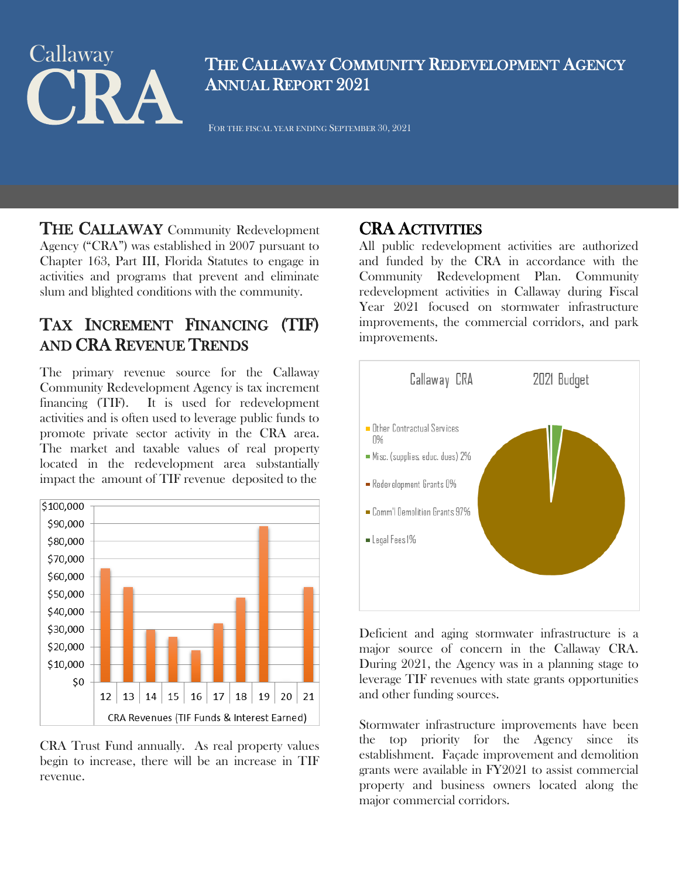# THE CALLAWAY COMMUNI **Callaway**

THE CALLAWAY COMMUNITY REDEVELOPMENT AGENCY ANNUAL REPORT 2021

THE CALLAWAY Community Redevelopment Agency ("CRA") was established in 2007 pursuant to Chapter 163, Part III, Florida Statutes to engage in activities and programs that prevent and eliminate slum and blighted conditions with the community.

# TAX INCREMENT FINANCING (TIF) AND CRA REVENUE TRENDS

The primary revenue source for the Callaway Community Redevelopment Agency is tax increment financing (TIF). It is used for redevelopment activities and is often used to leverage public funds to promote private sector activity in the CRA area. The market and taxable values of real property located in the redevelopment area substantially impact the amount of TIF revenue deposited to the



CRA Trust Fund annually. As real property values begin to increase, there will be an increase in TIF revenue.

**CRA ACTIVITIES**<br>All public redevelopment activities are authorized and funded by the CRA in accordance with the Community Redevelopment Plan. Community redevelopment activities in Callaway during Fiscal Year 2021 focused on stormwater infrastructure improvements, the commercial corridors, and park improvements.



Deficient and aging stormwater infrastructure is a major source of concern in the Callaway CRA. During 2021, the Agency was in a planning stage to leverage TIF revenues with state grants opportunities and other funding sources.

Stormwater infrastructure improvements have been the top priority for the Agency since its establishment. Façade improvement and demolition grants were available in FY2021 to assist commercial property and business owners located along the major commercial corridors.